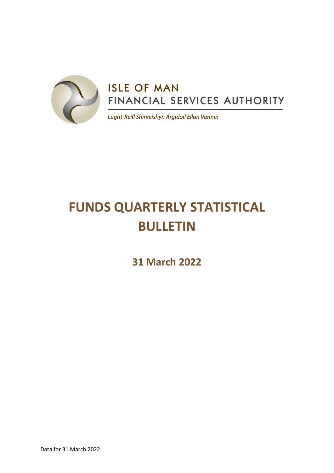

# **FUNDS QUARTERLY STATISTICAL BULLETIN**

**31 March 2022**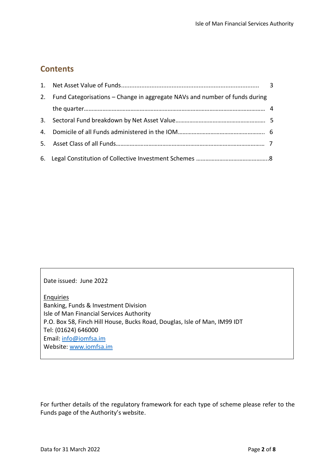## **Contents**

| 2. Fund Categorisations – Change in aggregate NAVs and number of funds during |  |
|-------------------------------------------------------------------------------|--|
|                                                                               |  |
|                                                                               |  |
|                                                                               |  |
|                                                                               |  |
|                                                                               |  |

Date issued: June 2022

**Enquiries** Banking, Funds & Investment Division Isle of Man Financial Services Authority P.O. Box 58, Finch Hill House, Bucks Road, Douglas, Isle of Man, IM99 IDT Tel: (01624) 646000 Email: [info@iomfsa.im](mailto:info@iomfsa.im) Website: [www.iomfsa.im](http://www.iomfsa.im/)

For further details of the regulatory framework for each type of scheme please refer to the Funds page of the Authority's website.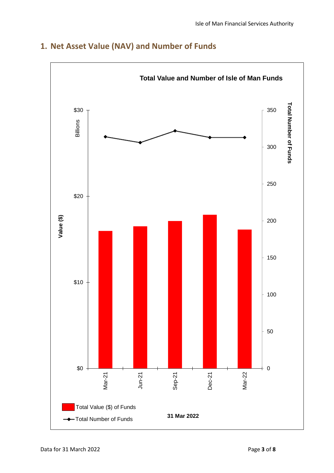

## **1. Net Asset Value (NAV) and Number of Funds**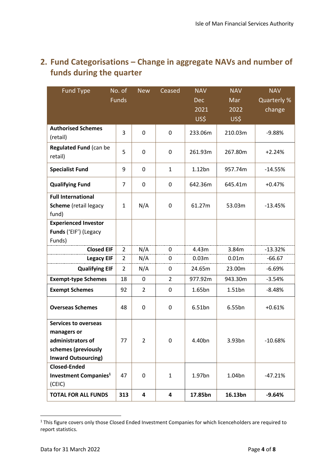## **2. Fund Categorisations – Change in aggregate NAVs and number of funds during the quarter**

| <b>Fund Type</b>                                                                                                     | No. of<br><b>Funds</b> | <b>New</b>     | Ceased         | <b>NAV</b><br>Dec<br>2021<br>US\$ | <b>NAV</b><br>Mar<br>2022<br>US\$ | <b>NAV</b><br>Quarterly %<br>change |
|----------------------------------------------------------------------------------------------------------------------|------------------------|----------------|----------------|-----------------------------------|-----------------------------------|-------------------------------------|
| <b>Authorised Schemes</b><br>(retail)                                                                                | 3                      | 0              | 0              | 233.06m                           | 210.03m                           | $-9.88%$                            |
| <b>Regulated Fund (can be</b><br>retail)                                                                             | 5                      | 0              | 0              | 261.93m                           | 267.80m                           | $+2.24%$                            |
| <b>Specialist Fund</b>                                                                                               | 9                      | 0              | $\mathbf{1}$   | $1.12$ bn                         | 957.74m                           | $-14.55%$                           |
| <b>Qualifying Fund</b>                                                                                               | $\overline{7}$         | 0              | 0              | 642.36m                           | 645.41m                           | $+0.47%$                            |
| <b>Full International</b><br><b>Scheme</b> (retail legacy<br>fund)                                                   | 1                      | N/A            | 0              | 61.27m                            | 53.03m                            | $-13.45%$                           |
| <b>Experienced Investor</b><br>Funds ('EIF') (Legacy<br>Funds)                                                       |                        |                |                |                                   |                                   |                                     |
| <b>Closed EIF</b>                                                                                                    | 2                      | N/A            | 0              | 4.43m                             | 3.84m                             | $-13.32%$                           |
| <b>Legacy EIF</b>                                                                                                    | 2                      | N/A            | 0              | 0.03m                             | 0.01m                             | $-66.67$                            |
| <b>Qualifying EIF</b>                                                                                                | $\overline{2}$         | N/A            | 0              | 24.65m                            | 23.00m                            | $-6.69%$                            |
| <b>Exempt-type Schemes</b>                                                                                           | 18                     | 0              | $\overline{2}$ | 977.92m                           | 943.30m                           | $-3.54%$                            |
| <b>Exempt Schemes</b>                                                                                                | 92                     | $\overline{2}$ | 0              | 1.65bn                            | $1.51$ bn                         | $-8.48%$                            |
| <b>Overseas Schemes</b>                                                                                              | 48                     | 0              | 0              | 6.51bn                            | 6.55bn                            | $+0.61%$                            |
| <b>Services to overseas</b><br>managers or<br>administrators of<br>schemes (previously<br><b>Inward Outsourcing)</b> | 77                     | 2              | 0              | 4.40bn                            | 3.93bn                            | $-10.68%$                           |
| <b>Closed-Ended</b><br><b>Investment Companies</b> <sup>1</sup><br>(CEIC)                                            | 47                     | 0              | $\mathbf{1}$   | 1.97bn                            | 1.04bn                            | $-47.21%$                           |
| <b>TOTAL FOR ALL FUNDS</b>                                                                                           | 313                    | 4              | 4              | 17.85bn                           | 16.13bn                           | $-9.64%$                            |

<sup>&</sup>lt;sup>1</sup> This figure covers only those Closed Ended Investment Companies for which licenceholders are required to report statistics.

1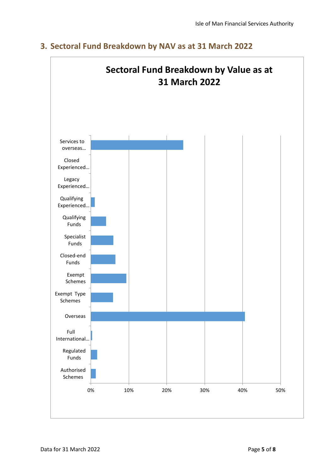

#### **3. Sectoral Fund Breakdown by NAV as at 31 March 2022**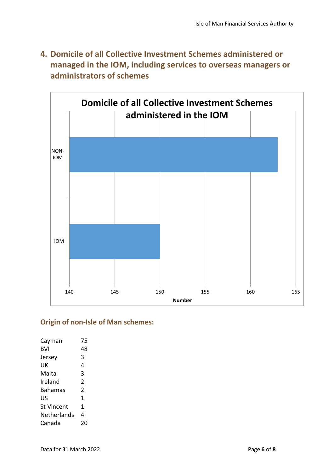**4. Domicile of all Collective Investment Schemes administered or managed in the IOM, including services to overseas managers or administrators of schemes**



#### **Origin of non-Isle of Man schemes:**

| Cayman      | 75            |
|-------------|---------------|
| BVI         | 48            |
| Jersey      | 3             |
| UK          | 4             |
| Malta       | 3             |
| Ireland     | $\mathfrak z$ |
| Bahamas     | $\mathfrak z$ |
| US          | 1             |
| St Vincent  | 1             |
| Netherlands | 4             |
| Canada      | 20            |
|             |               |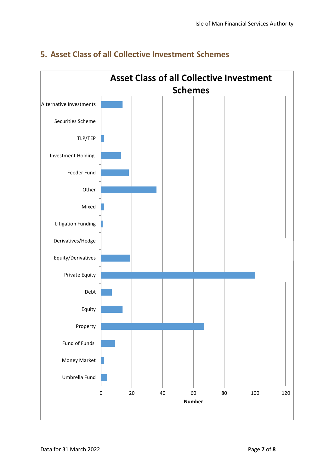

#### **5. Asset Class of all Collective Investment Schemes**